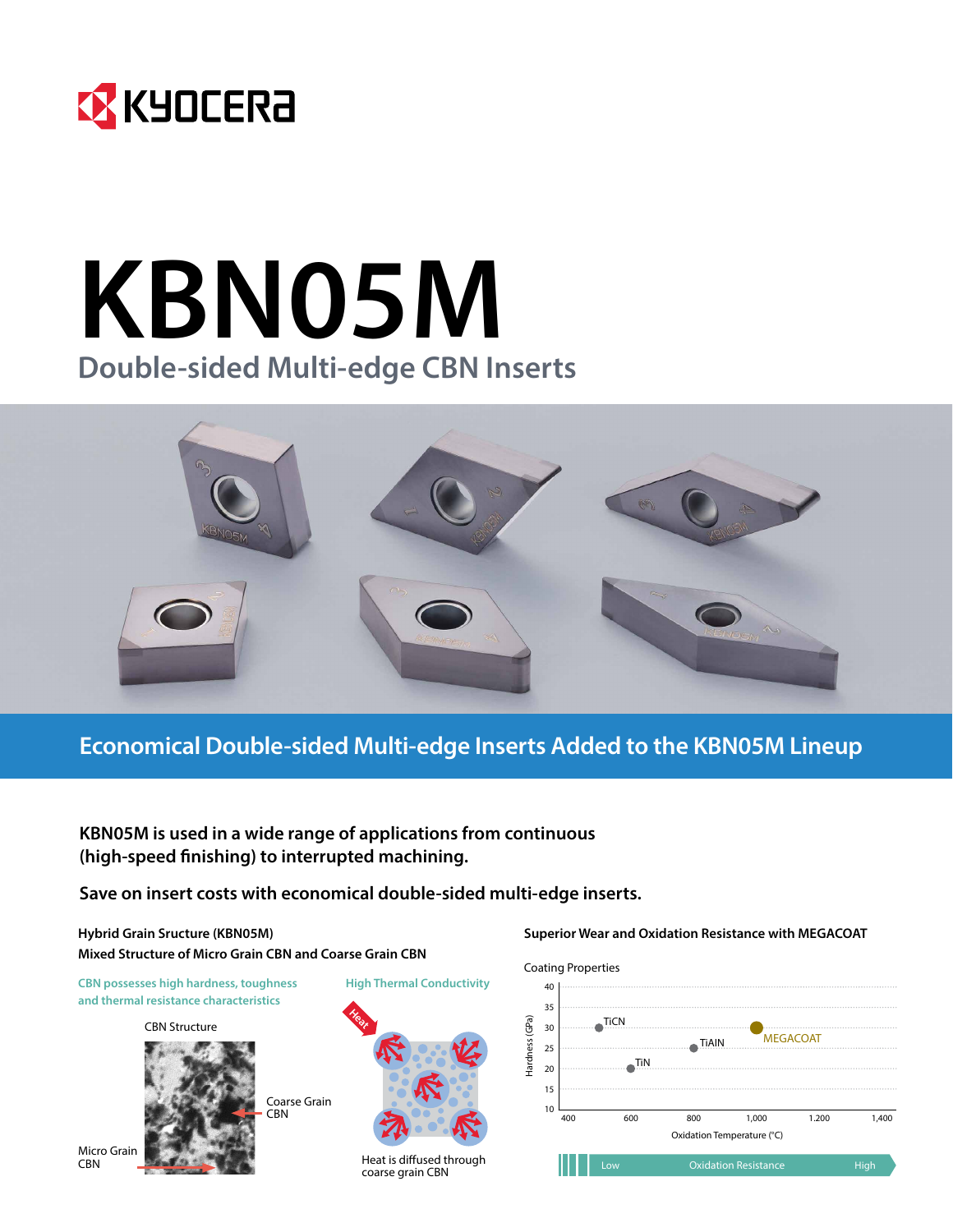

# **KBN05M Double-sided Multi-edge CBN Inserts**



# **Economical Double-sided Multi-edge Inserts Added to the KBN05M Lineup**

**KBN05M is used in a wide range of applications from continuous (high-speed finishing) to interrupted machining.**

**Save on insert costs with economical double-sided multi-edge inserts.**

### **Hybrid Grain Sructure (KBN05M) Superior Wear and Oxidation Resistance with MEGACOAT Mixed Structure of Micro Grain CBN and Coarse Grain CBN**

**CBN possesses high hardness, toughness and thermal resistance characteristics**

CBN Structure



Coarse Grain **CBN** 





Micro Grain **CBN** 

Heat is diffused through coarse grain CBN